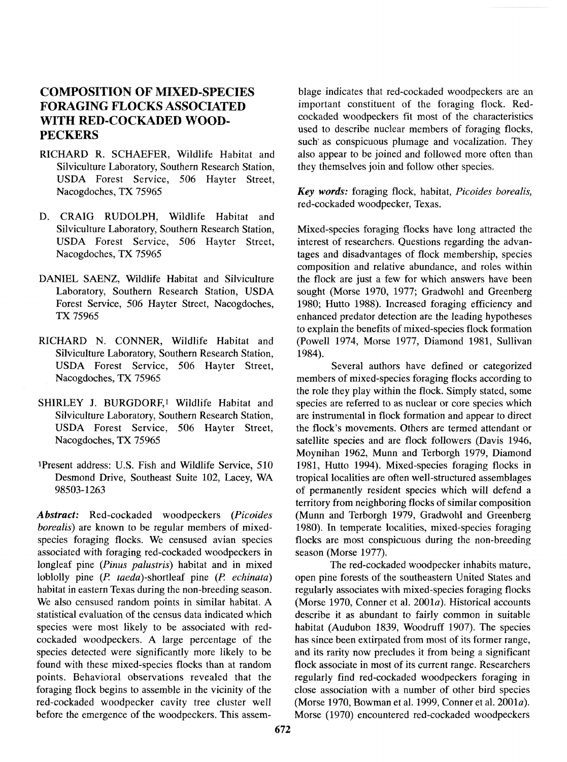# **FORAGING FLOCKS ASSOCIATED**

- Silviculture Laboratory, Southern Research Station, USDA Forest Service, 506 Hayter Street,
- D. CRAIG RUDOLPH, Wildlife Habitat and Silviculture Laboratory, Southern Research Station,
- 
- RICHARD N. CONNER, Wildlife Habitat and Silviculture Laboratory, Southern Research Station, 1984).
- SHIRLEY J. BURGDORF,<sup>1</sup> Wildlife Habitat and
- lPresent address: U.S. Fish and Wildlife Service, 510 1981, Hutto 1994). Mixed-species foraging flocks in

Abstract: Red-cockaded woodpeckers (Picoides (Munn and Terborgh 1979, Gradwohl and Greenberg borealis) are known to be regular members of mixed-<br>species foraging species foraging flocks. We censused avian species<br>flocks are most conspicuous during the non-breeding associated with foraging red-cockaded woodpeckers in season (Morse 1977). longleaf pine (Pinus palustris) habitat and in mixed<br>
Intered-cockaded woodpecker inhabits mature,<br>
Intered-cockaded woodpecker inhabits mature,<br>
Intered-cockaded woodpecker inhabits mature,<br>
Intered-cockaded woodpecker in loblolly pine (P. *taeda*)-shortleaf pine (P. *echinata*) open pine forests of the southeastern United States and habitat in eastern Texas during the non-breeding season. regularly associates with mixed-species foraging fl habitat in eastern Texas during the non-breeding season. regularly associates with mixed-species foraging flocks<br>We also censused random points in similar habitat. A (Morse 1970, Conner et al. 2001a). Historical accounts statistical evaluation of the census data indicated which describe it as abundant to fairly common in suitable species were most likely to be associated with red-<br>habitat (Audubon 1839, Woodruff 1907). The species cockaded woodpeckers. A large percentage of the has since been extirpated from most of its former range, species detected were significantly more likely to be and its rarity now precludes it from being a significant found with these mixed-species flocks than at random flock associate in most of its current range. Researchers points. Behavioral observations revealed that the regularly find red-cockaded woodpeckers foraging in foraging flock begins to assemble in the vicinity of the close association with a number of other bird species red-cockaded woodpecker cavity tree cluster well (Morse 1970, Bowman et al. 1999, Conner et al. 2001a). before the emergence of the woodpeckers. This assem-<br>Morse (1970) encountered red-cockaded woodpeckers

**COMPOSITION OF MIXED-SPECIES** blage indicates that red-cockaded woodpeckers are an **FORAGING FLOCKS ASSOCIATED** important constituent of the foraging flock. Red-WITH RED-COCKADED WOOD-<br>WITH RED-COCKADED WOOD-**PECKERS PECKERS PECKERS** such' as conspicuous plumage and vocalization. They RICHARD R. SCHAEFER, Wildlife Habitat and also appear to be joined and followed more often than<br>Silviculture Laboratory, Southern Research Station, they themselves join and follow other species.

Nacogdoches, TX 75965 *Key words:* foraging flock, habitat, Picoides borealis, red-cockaded woodpecker, Texas.

Silviculture Laboratory, Southern Research Station, Mixed-species foraging flocks have long attracted the USDA Forest Service, 506 Hayter Street, interest of researchers. Questions regarding the advaninterest of researchers. Questions regarding the advan-Nacogdoches, TX 75965 tages and disadvantages of flock membership, species composition and relative abundance, and roles within DANIEL SAENZ, Wildlife Habitat and Silviculture the flock are just a few for which answers have been<br>Laboratory, Southern Research Station, USDA sought (Morse 1970, 1977; Gradwohl and Greenberg Laboratory, Southern Research Station, USDA sought (Morse 1970, 1977; Gradwohl and Greenberg<br>Forest Service, 506 Hayter Street, Nacogdoches, 1980; Hutto 1988). Increased foraging efficiency and 1980; Hutto 1988). Increased foraging efficiency and **TX** 75965 enhanced predator detection are the leading hypotheses to explain the benefits of mixed-species flock formation (Powell 1974, Morse 1977, Diamond 1981, Sullivan

USDA Forest Service, 506 Hayter Street, Several authors have defined or categorized Nacogdoches, TX 75965 members of mixed-species foraging flocks according to members of mixed-species foraging flocks according to the role they play within the flock. Simply stated, some species are referred to as nuclear or core species which Silviculture Laboratory, Southern Research Station, are instrumental in flock formation and appear to direct USDA Forest Service, 506 Hayter Street, the flock's movements. Others are termed attendant or Nacogdoches, TX 75965 satellite species and are flock followers (Davis 1946, Moynihan 1962, Munn and Terborgh 1979, Diamond Desmond Drive, Southeast Suite 102, Lacey, WA tropical localities are often well-structured assemblages<br>98503-1263 of permanently resident species which will defend a of permanently resident species which will defend a territory from neighboring flocks of similar composition flocks are most conspicuous during the non-breeding

(Morse 1970, Conner et al. 2001a). Historical accounts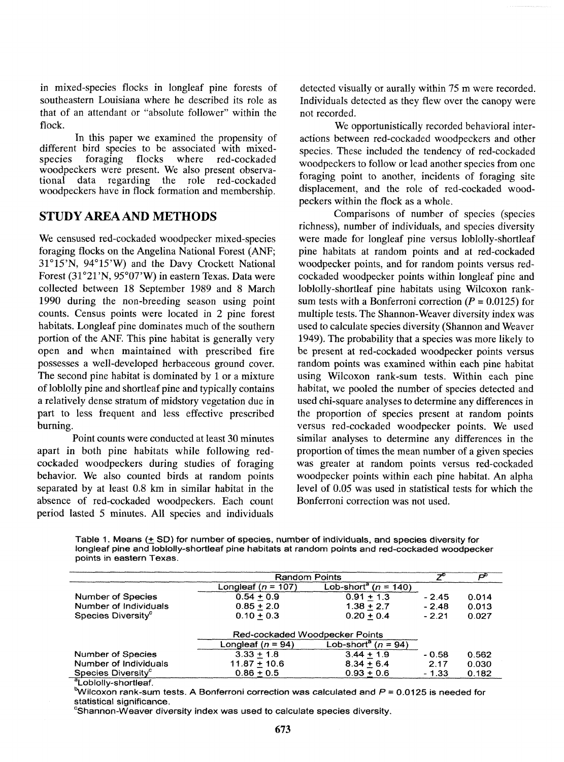in mixed-species flocks in longleaf pine forests of detected visually or aurally within 75 m were recorded.<br>
southeastern Louisiana where he described its role as Individuals detected as they flew over the canony were that of an attendant or "absolute follower" within the not recorded.<br>Flock.

In this paper we examined the propensity of actions between red-cockaded woodpeckers and other different bird species to be associated with mixed-<br>species These included the tendency of red-cockaded different bird species to be associated with mixed-<br>species. These included the tendency of red-cockaded<br>woodpeckers to follow or lead another species from one woodpeckers were present. We also present observa-<br>tional data regarding the role red-cockaded foraging point to another, incidents of foraging site tional data regarding the role red-cockaded for four point to another value of formation and membership. displacement, and the role of red-cockaded wood-

# **STUDY AREA AND METHODS**

We censused red-cockaded woodpecker mixed-species foraging flocks on the Angelina National Forest (ANF;  $31^{\circ}15'$ N,  $94^{\circ}15'$ W) and the Davy Crockett National Forest  $(31°21'N, 95°07'W)$  in eastern Texas. Data were collected between 18 September 1989 and 8 March 1990 during the non-breeding season using point counts. Census points were located in 2 pine forest habitats. Longleaf pine dominates much of the southern portion of the ANF. This pine habitat is generally very open and when maintained with prescribed fire possesses a well-developed herbaceous ground cover. The second pine habitat is dominated by 1 or a mixture of loblolly pine and shortleaf pine and typically contains a relatively dense stratum of midstory vegetation due in part to less frequent and less effective prescribed burning.

Point counts were conducted at least 30 minutes apart in both pine habitats while following redcockaded woodpeckers during studies of foraging behavior. We also counted birds at random points separated by at least 0.8 km in similar habitat in the absence of red-cockaded woodpeckers. Each count period lasted 5 minutes. All species and individuals

Individuals detected as they flew over the canopy were

We opportunistically recorded behavioral inter-<br>In this paper we examined the propensity of actions between red-cockaded woodpeckers and other peckers within the flock as a whole.

> Comparisons of number of species (species richness), number of individuals, and species diversity were made for longleaf pine versus loblolly-shortleaf pine habitats at random points and at red-cockaded woodpecker points, and for random points versus redcockaded woodpecker points within longleaf pine and loblolly-shortleaf pine habitats using Wilcoxon ranksum tests with a Bonferroni correction ( $P = 0.0125$ ) for multiple tests. The Shannon-Weaver diversity index was used to calculate species diversity (Shannon and Weaver 1949). The probability that a species was more likely to be present at red-cockaded woodpecker points versus random points was examined within each pine habitat using Wilcoxon rank-sum tests. Within each pine habitat, we pooled the number of species detected and used chi-square analyses to determine any differences in the proportion of species present at random points versus red-cockaded woodpecker points. We used similar analyses to determine any differences in the proportion of times the mean number of a given species was greater at random points versus red-cockaded woodpecker points within each pine habitat. An alpha level of 0.05 was used in statistical tests for which the Bonferroni correction was not used.

Table 1. Means ( $\pm$  SD) for number of species, number of individuals, and species diversity for **longleaf pine and loblolly-shortleaf pine habitats at random points and red-cockaded woodpecker points in eastern Texas.** 

|                                | <b>Random Points</b>           |                                      |         |       |
|--------------------------------|--------------------------------|--------------------------------------|---------|-------|
|                                | Longleaf ( $n = 107$ )         | Lob-short <sup>a</sup> ( $n = 140$ ) |         |       |
| <b>Number of Species</b>       | $0.54 + 0.9$                   | $0.91 + 1.3$                         | $-2.45$ | 0.014 |
| Number of Individuals          | $0.85 + 2.0$                   | $1.38 + 2.7$                         | $-2.48$ | 0.013 |
| Species Diversity <sup>c</sup> | $0.10 + 0.3$                   | $0.20 + 0.4$                         | $-2.21$ | 0.027 |
|                                | Red-cockaded Woodpecker Points |                                      |         |       |
|                                | Longleaf $(n = 94)$            | Lob-short <sup>a</sup> ( $n = 94$ )  |         |       |
| Number of Species              | $3.33 + 1.8$                   | $3.44 + 1.9$                         | $-0.58$ | 0.562 |
| Number of Individuals          | $11.87 + 10.6$                 | $8.34 + 6.4$                         | 2.17    | 0.030 |
| Species Diversity <sup>c</sup> | $0.86 + 0.5$                   | $0.93 + 0.6$                         | $-1.33$ | 0.182 |

**aLoblolly-shortleaf.** 

**bWilcoxon rank-sum tests. A Bonferroni correction was calculated and P** = **0.0125 is needed for statistical significance.** 

**'Shannon-Weaver diversity index was used to calculate species diversity.**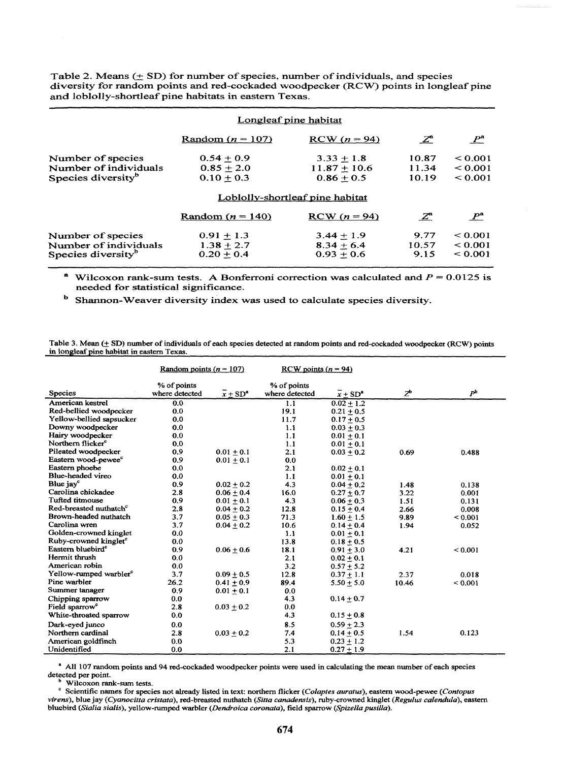Table 2. Means  $(± SD)$  for number of species, number of individuals, and species diversity for random points and red-cockaded woodpecker (RCW) points in longleaf pine **and** loblolly-shortleaf pine habitats in eastern Texas.

|                                | Longleaf pine habitat           |                |                 |              |
|--------------------------------|---------------------------------|----------------|-----------------|--------------|
|                                | Random $(n = 107)$              | $RCW (n = 94)$ | $\mathcal{Z}^a$ | $P^{\rm a}$  |
| Number of species              | $0.54 + 0.9$                    | $3.33 + 1.8$   | 10.87           | < 0.001      |
| Number of individuals          | $0.85 + 2.0$                    | $11.87 + 10.6$ | 11.34           | < 0.001      |
| Species diversity <sup>b</sup> | $0.10 + 0.3$                    | $0.86 + 0.5$   | 10.19           | < 0.001      |
|                                | Loblolly-shortleaf pine habitat |                |                 |              |
|                                | Random $(n = 140)$              | $RCW (n = 94)$ | $Z^a$           | $P^{\rm a}$  |
| Number of species              | $0.91 + 1.3$                    | $3.44 + 1.9$   | 9.77            | ${}_{0.001}$ |
| Number of individuals          | $1.38 + 2.7$                    | $8.34 + 6.4$   | 10.57           | ${}_{0.001}$ |
| Species diversity <sup>b</sup> | $0.20 + 0.4$                    | $0.93 + 0.6$   | 9.15            | ${}_{0.001}$ |

<sup>a</sup> Wilcoxon rank-sum tests. A Bonferroni correction was calculated and  $P = 0.0125$  is needed for statistical significance.

Shannon-Weaver diversity index **was** used to calculate species diversity.

Table 3. Mean ( $\pm$  SD) number of individuals of each species detected at random points and red-cockaded woodpecker (RCW) points in longleaf pine habitat in eastern Texas.

|                                    |                | Random points ( $n = 107$ )<br>RCW points $(n = 94)$ |                |                |                  |                |
|------------------------------------|----------------|------------------------------------------------------|----------------|----------------|------------------|----------------|
|                                    | % of points    |                                                      | % of points    |                |                  |                |
| <b>Species</b>                     | where detected | $x + SD^a$                                           | where detected | $x + SD^*$     | $Z^{\mathsf{b}}$ | P <sup>b</sup> |
| American kestrel                   | 0.0            |                                                      | 1.1            | $0.02 + 1.2$   |                  |                |
| Red-bellied woodpecker             | 0.0            |                                                      | 19.1           | $0.21 + 0.5$   |                  |                |
| Yellow-bellied sapsucker           | 0.0            |                                                      | 11.7           | $0.17 + 0.5$   |                  |                |
| Downy woodpecker                   | 0,0            |                                                      | 1.1            | $0.03 + 0.3$   |                  |                |
| Hairy woodpecker                   | 0.0            |                                                      | 1.1            | $0.01 + 0.1$   |                  |                |
| Northern flicker <sup>c</sup>      | 0.0            |                                                      | 1.1            | $0.01 + 0.1$   |                  |                |
| Pileated woodpecker                | 0.9            | $0.01 + 0.1$                                         | 2.1            | $0.03 + 0.2$   | 0.69             | 0.488          |
| Eastern wood-pewee <sup>c</sup>    | 0.9            | $0.01 + 0.1$                                         | 0.0            |                |                  |                |
| Eastern phoebe                     | 0.0            |                                                      | 2.1            | $0.02 + 0.1$   |                  |                |
| Blue-headed vireo                  | 0.0            |                                                      | 1.1            | $0.01 + 0.1$   |                  |                |
| Blue jay <sup>c</sup>              | 0.9            | $0.02 + 0.2$                                         | 4.3            | $0.04 + 0.2$   | 1.48             | 0.138          |
| Carolina chickadee                 | 2.8            | $0.06 + 0.4$                                         | 16.0           | $0.27 + 0.7$   | 3.22             | 0.001          |
| Tufted titmouse                    | 0.9            | $0.01 + 0.1$                                         | 4.3            | $0.06 + 0.3$   | 1.51             | 0.131          |
| Red-breasted nuthatch <sup>c</sup> | 2.8            | $0.04 + 0.2$                                         | 12.8           | $0.15 + 0.4$   | 2.66             | 0.008          |
| Brown-headed nuthatch              | 3.7            | $0.05 + 0.3$                                         | 71.3           | $1.60 + 1.5$   | 9.89             | ${}_{0.001}$   |
| Carolina wren                      | 3.7            | $0.04 + 0.2$                                         | 10.6           | $0.14 + 0.4$   | 1.94             | 0.052          |
| Golden-crowned kinglet             | 0.0            |                                                      | 1.1            | $0.01 + 0.1$   |                  |                |
| Ruby-crowned kinglet <sup>c</sup>  | 0.0            |                                                      | 13.8           | $0.18 + 0.5$   |                  |                |
| Eastern bluebird <sup>c</sup>      | 0.9            | $0.06 + 0.6$                                         | 18.1           | $0.91 + 3.0$   | 4.21             | ${}_{0.001}$   |
| Hermit thrush                      | 0.0            |                                                      | 2.1            | $0.02 + 0.1$   |                  |                |
| American robin                     | 0.0            |                                                      | 3.2            | $0.57 + 5.2$   |                  |                |
| Yellow-rumped warbler <sup>c</sup> | 3.7            | $0.09 + 0.5$                                         | 12.8           | $0.37 + 1.1$   | 2.37             | 0.018          |
| Pine warbler                       | 26.2           | $0.41 \pm 0.9$                                       | 89.4           | $5.50 + 5.0$   | 10.46            | ${}_{0.001}$   |
| Summer tanager                     | 0.9            | $0.01 + 0.1$                                         | 0.0            |                |                  |                |
| Chipping sparrow                   | 0.0            |                                                      | 4.3            | $0.14 \pm 0.7$ |                  |                |
| Field sparrow <sup>e</sup>         | 2.8            | $0.03 + 0.2$                                         | 0.0            |                |                  |                |
| White-throated sparrow             | 0.0            |                                                      | 4.3            | $0.15 \pm 0.8$ |                  |                |
| Dark-eyed junco                    | 0.0            |                                                      | 8.5            | $0.59 + 2.3$   |                  |                |
| Northern cardinal                  | 2.8            | $0.03 + 0.2$                                         | 7.4            | $0.14 + 0.5$   | 1.54             | 0.123          |
| American goldfinch                 | 0.0            |                                                      | 5.3            | $0.23 + 1.2$   |                  |                |
| Unidentified                       | 0.0            |                                                      | 2.1            | $0.27 + 1.9$   |                  |                |

" All 107 random points **and** 94 red-cockaded woodpecker points were used in calculating the **mean** number of each species detected per point.

Wilcoxon rank-sum tests.

Scientific mes for species not already listed in text: northern flicker *(Colqtes auralus),* **eastern** wood-pewee *(Confopus virens),* blue jay *(Cyanocitfa cristata),* red-breasted nuthatch *(Sine canadensis),* mby-crowned kinglet *(Regulus calendula),* **eastern**  bluebird *(Sialia sialis),* yellow-rumped warbler *(Dendroica coronata),* field sparrow *(Spizellapusilla).*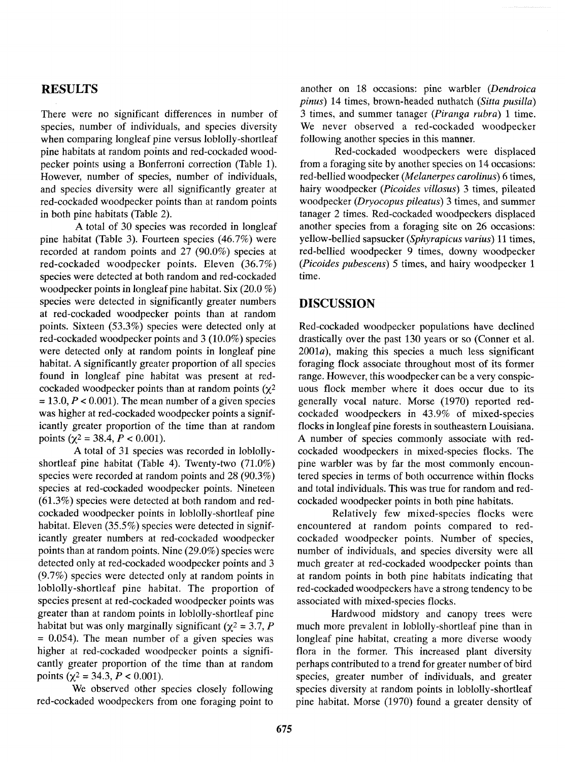## **RESULTS**

There were no significant differences in number of species, number of individuals, and species diversity when comparing longleaf pine versus loblolly-shortleaf pine habitats at random points and red-cockaded woodpecker points using a Bonferroni correction (Table 1). However, number of species, number of individuals, and species diversity were all significantly greater at red-cockaded woodpecker points than at random points in both pine habitats (Table 2).

A total of 30 species was recorded in longleaf pine habitat (Table 3). Fourteen species (46.7%) were recorded at random points and 27 (90.0%) species at red-cockaded woodpecker points. Eleven (36.7%) species were detected at both random and red-cockaded woodpecker points in longleaf pine habitat. Six (20.0 %) species were detected in significantly greater numbers at red-cockaded woodpecker points than at random points. Sixteen (53.3%) species were detected only at red-cockaded woodpecker points and 3 (10.0%) species were detected only at random points in longleaf pine habitat. A significantly greater proportion of all species found in longleaf pine habitat was present at redcockaded woodpecker points than at random points  $(y^2)$  $= 13.0, P < 0.001$ . The mean number of a given species was higher at red-cockaded woodpecker points a significantly greater proportion of the time than at random points ( $\chi^2$  = 38.4,  $P < 0.001$ ).

A total of 31 species was recorded in loblollyshortleaf pine habitat (Table 4). Twenty-two (71.0%) species were recorded at random points and 28 (90.3%) species at red-cockaded woodpecker points. Nineteen (61.3%) species were detected at both random and redcockaded woodpecker points in loblolly-shortleaf pine habitat. Eleven (35.5%) species were detected in significantly greater numbers at red-cockaded woodpecker points than at random points. Nine (29.0%) species were detected only at red-cockaded woodpecker points and 3 (9.7%) species were detected only at random points in loblolly-shortleaf pine habitat. The proportion of species present at red-cockaded woodpecker points was greater than at random points in loblolly-shortleaf pine habitat but was only marginally significant ( $\chi^2 = 3.7$ , P  $= 0.054$ ). The mean number of a given species was higher at red-cockaded woodpecker points a significantly greater proportion of the time than at random points ( $\chi^2$  = 34.3, *P* < 0.001).

We observed other species closely following red-cockaded woodpeckers from one foraging point to

another on 18 occasions: pine warbler (Dendroica pinus) 14 times, brown-headed nuthatch (Sitta pusilla) **3** times, and summer tanager (Piranga rubra) 1 time. We never observed a red-cockaded woodpecker following another species in this manner.

Red-cockaded woodpeckers were displaced from a foraging site by another species on 14 occasions: red-bellied woodpecker (Melanerpes carolinus) 6 times, hairy woodpecker (Picoides villosus) 3 times, pileated woodpecker (Dryocopus pileatus) 3 times, and summer tanager 2 times. Red-cockaded woodpeckers displaced another species from a foraging site on 26 occasions: yellow-bellied sapsucker (Sphyrapicus varius) 11 times, red-bellied woodpecker 9 times, downy woodpecker (Picoides pubescens) 5 times, and hairy woodpecker 1 time.

### **DISCUSSION**

Red-cockaded woodpecker populations have declined drastically over the past 130 years or so (Conner et al.  $2001a$ ), making this species a much less significant foraging flock associate throughout most of its former range. However, this woodpecker can be a very conspicuous flock member where it does occur due to its generally vocal nature. Morse (1970) reported redcockaded woodpeckers in 43.9% of mixed-species flocks in longleaf pine forests in southeastern Louisiana. A number of species commonly associate with redcockaded woodpeckers in mixed-species flocks. The pine warbler was by far the most commonly encountered species in terms of both occurrence within flocks and total individuals. This was true for random and redcockaded woodpecker points in both pine habitats.

Relatively few mixed-species flocks were encountered at random points compared to redcockaded woodpecker points. Number of species, number of individuals, and species diversity were all much greater at red-cockaded woodpecker points than at random points in both pine habitats indicating that red-cockaded woodpeckers have a strong tendency to be associated with mixed-species flocks.

Hardwood midstory and canopy trees were much more prevalent in loblolly-shortleaf pine than in longleaf pine habitat, creating a more diverse woody flora in the former. This increased plant diversity perhaps contributed to a trend for greater number of bird species, greater number of individuals, and greater species diversity at random points in loblolly-shortleaf pine habitat. Morse (1970) found a greater density of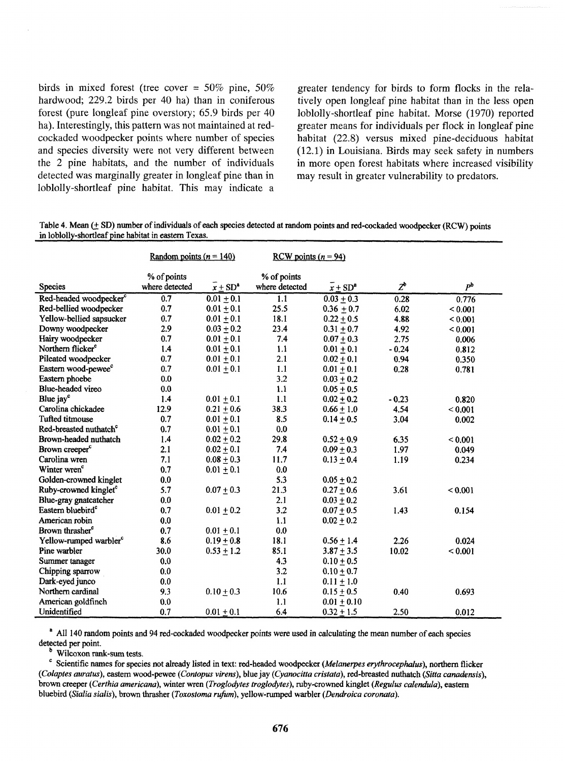birds in mixed forest (tree cover = 50% pine, 50% hardwood; 229.2 birds per 40 ha) than in coniferous forest (pure longleaf pine overstory; 65.9 birds per 40 ha). Interestingly, this pattern was not maintained at redcockaded woodpecker points where number of species and species diversity were not very different between the 2 pine habitats, and the number of individuals detected was marginally greater in longleaf pine than in loblolly-shortleaf pine habitat. This may indicate a

greater tendency for birds to form flocks in the relatively open longleaf pine habitat than in the less open loblolly-shortleaf pine habitat. Morse (1970) reported greater means for individuals per flock in longleaf pine habitat (22.8) versus mixed pine-deciduous habitat (12.1) in Louisiana. Birds may seek safety in numbers in more open forest habitats where increased visibility may result in greater vulnerability to predators.

Table 4. Mean (+ SD) number of individuals of each species detected at random points and red-cockaded woodpecker (RCW) points in loblolly-shortleaf pine habitat in eastern Texas.

|                                    | Random points ( $n = 140$ ) |                                  | RCW points $(n = 94)$ |                |         |                |
|------------------------------------|-----------------------------|----------------------------------|-----------------------|----------------|---------|----------------|
|                                    | % of points                 |                                  | % of points           |                |         |                |
| Species                            | where detected              | $\overline{x}$ + SD <sup>a</sup> | where detected        | $x + SD^a$     | $Z^b$   | P <sup>b</sup> |
| Red-headed woodpecker <sup>c</sup> | 0.7                         | $0.01 \pm 0.1$                   | 1.1                   | $0.03 + 0.3$   | 0.28    | 0.776          |
| Red-bellied woodpecker             | 0.7                         | $0.01 \pm 0.1$                   | 25.5                  | $0.36 \pm 0.7$ | 6.02    | ${}_{0.001}$   |
| Yellow-bellied sapsucker           | 0.7                         | $0.01 + 0.1$                     | 18.1                  | $0.22 + 0.5$   | 4.88    | ${}_{0.001}$   |
| Downy woodpecker                   | 2.9                         | $0.03 + 0.2$                     | 23.4                  | $0.31 \pm 0.7$ | 4.92    | ${}_{0.001}$   |
| Hairy woodpecker                   | 0.7                         | $0.01 + 0.1$                     | 7.4                   | $0.07 \pm 0.3$ | 2.75    | 0.006          |
| Northern flicker <sup>c</sup>      | 1.4                         | $0.01 + 0.1$                     | 1.1                   | $0.01 + 0.1$   | $-0.24$ | 0.812          |
| Pileated woodpecker                | 0.7                         | $0.01 + 0.1$                     | 2.1                   | $0.02 + 0.1$   | 0.94    | 0.350          |
| Eastern wood-pewee <sup>c</sup>    | 0.7                         | $0.01 \pm 0.1$                   | 1.1                   | $0.01 + 0.1$   | 0.28    | 0.781          |
| Eastern phoebe                     | 0.0                         |                                  | 3.2                   | $0.03 + 0.2$   |         |                |
| Blue-headed vireo                  | 0.0                         |                                  | 1.1                   | $0.05 + 0.5$   |         |                |
| Blue jay <sup>c</sup>              | 1.4                         | $0.01 \pm 0.1$                   | 1.1                   | $0.02 + 0.2$   | $-0.23$ | 0.820          |
| Carolina chickadee                 | 12.9                        | $0.21 + 0.6$                     | 38.3                  | $0.66 + 1.0$   | 4.54    | ${}_{0.001}$   |
| <b>Tufted titmouse</b>             | 0.7                         | $0.01 + 0.1$                     | 8.5                   | $0.14 \pm 0.5$ | 3.04    | 0.002          |
| Red-breasted nuthatch <sup>c</sup> | 0.7                         | $0.01 \pm 0.1$                   | 0.0                   |                |         |                |
| Brown-headed nuthatch              | 1.4                         | $0.02 \pm 0.2$                   | 29.8                  | $0.52 \pm 0.9$ | 6.35    | ${}_{0.001}$   |
| Brown creeper <sup>c</sup>         | 2.1                         | $0.02 \pm 0.1$                   | 7.4                   | $0.09 \pm 0.3$ | 1.97    | 0.049          |
| Carolina wren                      | 7.1                         | $0.08 + 0.3$                     | 11.7                  | $0.13 + 0.4$   | 1.19    | 0.234          |
| Winter wren <sup>c</sup>           | 0.7                         | $0.01 \pm 0.1$                   | 0.0                   |                |         |                |
| Golden-crowned kinglet             | 0.0                         |                                  | 5.3                   | $0.05 + 0.2$   |         |                |
| Ruby-crowned kinglet <sup>c</sup>  | 5.7                         | $0.07 \pm 0.3$                   | 21.3                  | $0.27 \pm 0.6$ | 3.61    | ${}_{0.001}$   |
| Blue-gray gnatcatcher              | 0.0                         |                                  | 2.1                   | $0.03 \pm 0.2$ |         |                |
| Eastern bluebird <sup>c</sup>      | 0.7                         | $0.01 \pm 0.2$                   | 3.2                   | $0.07 + 0.5$   | 1.43    | 0.154          |
| American robin                     | 0.0                         |                                  | 1.1                   | $0.02 + 0.2$   |         |                |
| Brown thrasher <sup>c</sup>        | 0.7                         | $0.01 \pm 0.1$                   | 0.0                   |                |         |                |
| Yellow-rumped warbler <sup>c</sup> | 8.6                         | $0.19 + 0.8$                     | 18.1                  | $0.56 \pm 1.4$ | 2.26    | 0.024          |
| Pine warbler                       | 30.0                        | $0.53 \pm 1.2$                   | 85.1                  | $3.87 \pm 3.5$ | 10.02   | < 0.001        |
| Summer tanager                     | 0.0                         |                                  | 4.3                   | $0.10 \pm 0.5$ |         |                |
| Chipping sparrow                   | 0.0                         |                                  | 3.2                   | $0.10 + 0.7$   |         |                |
| Dark-eyed junco                    | 0.0                         |                                  | 1.1                   | $0.11 \pm 1.0$ |         |                |
| Northern cardinal                  | 9.3                         | $0.10 + 0.3$                     | 10.6                  | $0.15 \pm 0.5$ | 0.40    | 0.693          |
| American goldfinch                 | 0.0                         |                                  | 1.1                   | $0.01 + 0.10$  |         |                |
| Unidentified                       | 0.7                         | $0.01 + 0.1$                     | 6.4                   | $0.32 \pm 1.5$ | 2.50    | 0.012          |

<sup>a</sup> All 140 random points and 94 red-cockaded woodpecker points were used in calculating the mean number of each species detected per point.

Wilcoxon **rank-sum tests.** 

Scientific names for species not already listed in text: red-headed woodpecker (Melanerpes *erythrocephalus),* northern flicker *(Coiaptes auratus),* eastern wood-pewee *(Confopus virens),* blue jay *(Cyanocitta cristata),* red-breasted nuthatch (Sitta *canadensis),*  brown creeper *(Certhio americana),* winter wren *(Troglodytes troglodytes),* ruby-crowned kinglet *(Replus calendula),* eastem bluebird *(Sialia sialis),* **brown** thrasher *(Toxostoma rufum),* yellow-mped warbler *(Dendroica coronatu).*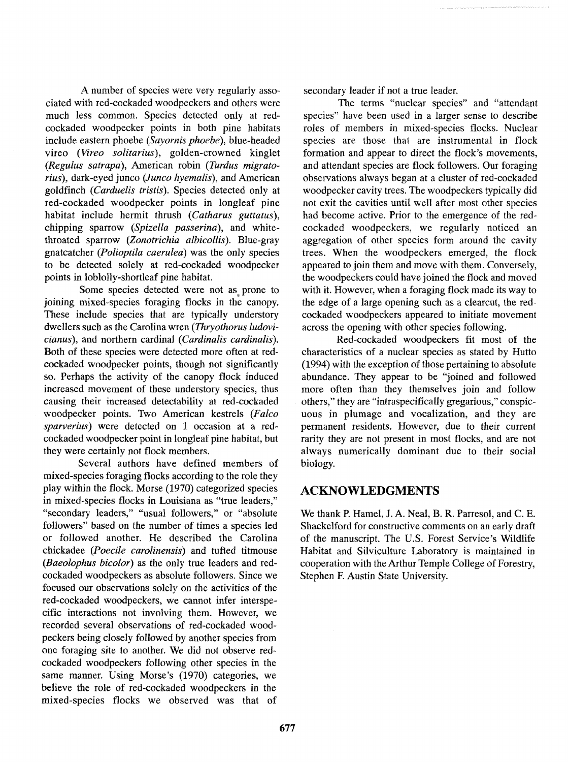A number of species were very regularly associated with red-cockaded woodpeckers and others were much less common. Species detected only at redcockaded woodpecker points in both pine habitats include eastern phoebe (Sayornis phoebe), blue-headed vireo (Vireo solitarius), golden-crowned kinglet (Regulus satrapa), American robin (Turdus migratorius), dark-eyed junco (Junco hyemalis), and American goldfinch (Carduelis tristis). Species detected only at red-cockaded woodpecker points in longleaf pine habitat include hermit thrush (Catharus guttatus), chipping sparrow (Spizella passerina), and whitethroated sparrow (Zonotrichia albicollis). Blue-gray gnatcatcher (Polioptila caerulea) was the only species to be detected solely at red-cockaded woodpecker points in loblolly-shortleaf pine habitat.

Some species detected were not as prone to joining mixed-species foraging flocks in the canopy. These include species that are typically understory dwellers such as the Carolina wren (Thryothorus ludovicianus), and northern cardinal (Cardinalis cardinalis). Both of these species were detected more often at redcockaded woodpecker points, though not significantly so. Perhaps the activity of the canopy flock induced increased movement of these understory species, thus causing their increased detectability at red-cockaded woodpecker points. Two American kestrels (Falco sparverius) were detected on 1 occasion at a redcockaded woodpecker point in longleaf pine habitat, but they were certainly not flock members.

Several authors have defined members of mixed-species foraging flocks according to the role they play within the flock. Morse (1970) categorized species in mixed-species flocks in Louisiana as "true leaders," "secondary leaders," "usual followers," or "absolute followers" based on the number of times a species led or followed another. He described the Carolina chickadee (Poecile carolinensis) and tufted titmouse (Baeolophus bicolor) as the only true leaders and redcockaded woodpeckers as absolute followers. Since we focused our observations solely on the activities of the red-cockaded woodpeckers, we cannot infer interspecific interactions not involving them. However, we recorded several observations of red-cockaded woodpeckers being closely followed by another species from one foraging site to another. We did not observe redcockaded woodpeckers following other species in the same manner. Using Morse's (1970) categories, we believe the role of red-cockaded woodpeckers in the mixed-species flocks we observed was that of

secondary leader if not a true leader.

The terms "nuclear species" and "attendant species" have been used in a larger sense to describe roles of members in mixed-species flocks. Nuclear species are those that are instrumental in flock formation and appear to direct the flock's movements, and attendant species are flock followers. Our foraging observations always began at a cluster of red-cockaded woodpecker cavity trees. The woodpeckers typically did not exit the cavities until well after most other species had become active. Prior to the emergence of the redcockaded woodpeckers, we regularly noticed an aggregation of other species form around the cavity trees. When the woodpeckers emerged, the flock appeared to join them and move with them. Conversely, the woodpeckers could have joined the flock and moved with it. However, when a foraging flock made its way to the edge of a large opening such as a clearcut, the redcockaded woodpeckers appeared to initiate movement across the opening with other species following.

Red-cockaded woodpeckers fit most of the characteristics of a nuclear species as stated by Hutto (1994) with the exception of those pertaining to absolute abundance. They appear to be "joined and followed more often than they themselves join and follow others," they are "intraspecifically gregarious," conspicuous in plumage and vocalization, and they are permanent residents. However, due to their current rarity they are not present in most flocks, and are not always numerically dominant due to their social biology.

# **ACKNOWLEDGMENTS**

We thank P. Hamel, J. A. Neal, B. R. Parresol, and C. E. Shackelford for constructive comments on an early draft of the manuscript. The U.S. Forest Service's Wildlife Habitat and Silviculture Laboratory is maintained in cooperation with the Arthur Temple College of Forestry, Stephen F. Austin State University.